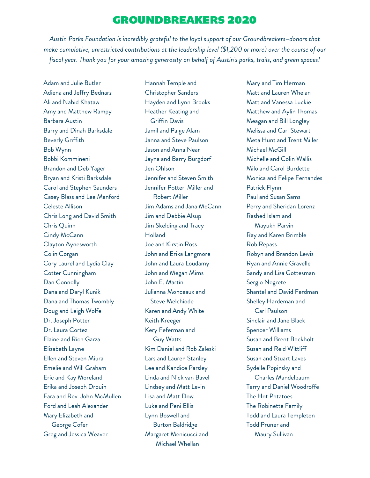## GROUNDBREAKERS 2020

*Austin Parks Foundation is incredibly grateful to the loyal support of our Groundbreakers–donors that make cumulative, unrestricted contributions at the leadership level (\$1,200 or more) over the course of our fiscal year. Thank you for your amazing generosity on behalf of Austin's parks, trails, and green spaces!*

Adam and Julie Butler Adiena and Jeffry Bednarz Ali and Nahid Khataw Amy and Matthew Rampy Barbara Austin Barry and Dinah Barksdale Beverly Griffith Bob Wynn Bobbi Kommineni Brandon and Deb Yager Bryan and Kristi Barksdale Carol and Stephen Saunders Casey Blass and Lee Manford Celeste Allison Chris Long and David Smith Chris Quinn Cindy McCann Clayton Aynesworth Colin Corgan Cory Laurel and Lydia Clay Cotter Cunningham Dan Connolly Dana and Daryl Kunik Dana and Thomas Twombly Doug and Leigh Wolfe Dr. Joseph Potter Dr. Laura Cortez Elaine and Rich Garza Elizabeth Layne Ellen and Steven Miura Emelie and Will Graham Eric and Kay Moreland Erika and Joseph Drouin Fara and Rev. John McMullen Ford and Leah Alexander Mary Elizabeth and George Cofer Greg and Jessica Weaver

Hannah Temple and Christopher Sanders Hayden and Lynn Brooks Heather Keating and Griffin Davis Jamil and Paige Alam Janna and Steve Paulson Jason and Anna Near Jayna and Barry Burgdorf Jen Ohlson Jennifer and Steven Smith Jennifer Potter-Miller and Robert Miller Jim Adams and Jana McCann Jim and Debbie Alsup Jim Skelding and Tracy **Holland** Joe and Kirstin Ross John and Erika Langmore John and Laura Loudamy John and Megan Mims John E. Martin Julianna Monceaux and Steve Melchiode Karen and Andy White Keith Kreeger Kery Feferman and Guy Watts Kim Daniel and Rob Zaleski Lars and Lauren Stanley Lee and Kandice Parsley Linda and Nick van Bavel Lindsey and Matt Levin Lisa and Matt Dow Luke and Peni Ellis Lynn Boswell and Burton Baldridge Margaret Menicucci and Michael Whellan

Mary and Tim Herman Matt and Lauren Whelan Matt and Vanessa Luckie Matthew and Aylin Thomas Meagan and Bill Longley Melissa and Carl Stewart Meta Hunt and Trent Miller Michael McGill Michelle and Colin Wallis Milo and Carol Burdette Monica and Felipe Fernandes Patrick Flynn Paul and Susan Sams Perry and Sheridan Lorenz Rashed Islam and Mayukh Parvin Ray and Karen Brimble Rob Repass Robyn and Brandon Lewis Ryan and Annie Gravelle Sandy and Lisa Gottesman Sergio Negrete Shantel and David Ferdman Shelley Hardeman and Carl Paulson Sinclair and Jane Black Spencer Williams Susan and Brent Bockholt Susan and Reid Wittliff Susan and Stuart Laves Sydelle Popinsky and Charles Mandelbaum Terry and Daniel Woodroffe The Hot Potatoes The Robinette Family Todd and Laura Templeton Todd Pruner and Maury Sullivan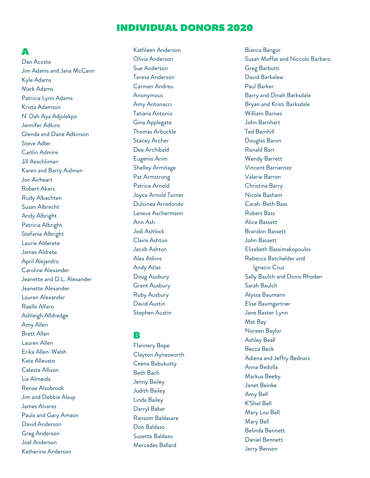#### A

Dan Acosta Jim Adams and Jana McCann Kyle Adams Mark Adams Patricia Lynn Adams Krista Adamson N' Dah Aya Adjolekpo Jennifer Adkins Glenda and Dane Adkinson Steve Adler Caitlin Admire Jill Aeschliman Karen and Barry Aidman Jon Airheart Robert Akers Rudy Albachten Susan Albrecht Andy Albright Patricia Albright Stefanie Albright Laurie Alderete James Aldrete April Alejandro Caroline Alexander Jeanette and D.L. Alexander Jeanette Alexander Lauren Alexander Raelle Alfaro Ashleigh Alldredge Amy Allen Brett Allen Lauren Allen Erika Allen-Walsh Kate Allevato Celeste Allison Lia Almeida Renae Alsobrook Jim and Debbie Alsup James Alvarez Paula and Gary Amaon David Anderson Greg Anderson Joel Anderson Katherine Anderson

Kathleen Anderson Olivia Anderson Sue Anderson Teresa Anderson Carmen Andreu Anonymous Amy Antonacci Tatiana Antonio Gina Applegate Thomas Arbuckle Stacey Archer Dee Archibald Eugenio Arim Shelley Armitage Pat Armstrong Patrice Arnold Joyce Arnold Turner Dulcinea Arredondo Leneva Aschermann Ann Ash Jodi Ashlock Claire Ashton Jacob Ashton Alex Atkins Andy Atlas Doug Ausbury Grant Ausbury Ruby Ausbury David Austin Stephen Austin

### B

Flannery Bope Clayton Aynesworth Ceena Babukutty Beth Bach Jenny Bailey Judith Bailey Linda Bailey Darryl Baker Ransom Baldasare Don Baldazo Suzette Baldazo Mercedes Ballard

Bianca Bangor Susan Moffat and Niccolo Barbaro Greg Barbutti David Barkelew Paul Barker Barry and Dinah Barksdale Bryan and Kristi Barksdale William Barnes John Barnhart Ted Barnhill Douglas Baron Ronald Barr Wendy Barrett Vincent Barrientez Valerie Barron Christina Barry Nicole Basham Carah-Beth Bass Robert Bass Alice Bassett Brandon Bassett John Bassett Elizabeth Bassimakopoulos Rebecca Batchelder and Ignacio Cruz Sally Baulch and Donis Rhoden Sarah Baulch Alyssa Baumann Elise Baumgartner Jane Baxter Lynn Mat Bay Noreen Baylor Ashley Beall Becca Beck Adiena and Jeffry Bednarz Anna Bedolla Markus Beeby Janet Beinke Amy Bell K'Shel Bell Mary Lou Bell Mary Bell Belinda Bennett Daniel Bennett Jerry Benson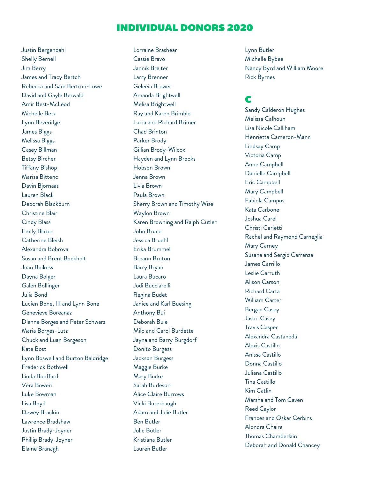Justin Bergendahl Shelly Bernell Jim Berry James and Tracy Bertch Rebecca and Sam Bertron-Lowe David and Gayle Berwald Amir Best-McLeod Michelle Betz Lynn Beveridge James Biggs Melissa Biggs Casey Billman Betsy Bircher Tiffany Bishop Marisa Bittenc Davin Bjornaas Lauren Black Deborah Blackburn Christine Blair Cindy Blass Emily Blazer Catherine Bleish Alexandra Bobrova Susan and Brent Bockholt Joan Boikess Dayna Bolger Galen Bollinger Julia Bond Lucien Bone, III and Lynn Bone Genevieve Boreanaz Dianne Borges and Peter Schwarz Maria Borges-Lutz Chuck and Luan Borgeson Kate Bost Lynn Boswell and Burton Baldridge Frederick Bothwell Linda Bouffard Vera Bowen Luke Bowman Lisa Boyd Dewey Brackin Lawrence Bradshaw Justin Brady-Joyner Phillip Brady-Joyner Elaine Branagh

Lorraine Brashear Cassie Bravo Jannik Breiter Larry Brenner Geleeia Brewer Amanda Brightwell Melisa Brightwell Ray and Karen Brimble Lucia and Richard Brimer Chad Brinton Parker Brody Gillian Brody-Wilcox Hayden and Lynn Brooks Hobson Brown Jenna Brown Livia Brown Paula Brown Sherry Brown and Timothy Wise Waylon Brown Karen Browning and Ralph Cutler John Bruce Jessica Bruehl Erika Brummel Breann Bruton Barry Bryan Laura Bucaro Jodi Bucciarelli Regina Budet Janice and Karl Buesing Anthony Bui Deborah Buie Milo and Carol Burdette Jayna and Barry Burgdorf Donito Burgess Jackson Burgess Maggie Burke Mary Burke Sarah Burleson Alice Claire Burrows Vicki Buterbaugh Adam and Julie Butler Ben Butler Julie Butler Kristiana Butler Lauren Butler

Lynn Butler Michelle Bybee Nancy Byrd and William Moore Rick Byrnes

## C

Sandy Calderon Hughes Melissa Calhoun Lisa Nicole Calliham Henrietta Cameron-Mann Lindsay Camp Victoria Camp Anne Campbell Danielle Campbell Eric Campbell Mary Campbell Fabiola Campos Kata Carbone Joshua Carel Christi Carletti Rachel and Raymond Carneglia Mary Carney Susana and Sergio Carranza James Carrillo Leslie Carruth Alison Carson Richard Carta William Carter Bergan Casey Jason Casey Travis Casper Alexandra Castaneda Alexis Castillo Anissa Castillo Donna Castillo Juliana Castillo Tina Castillo Kim Catlin Marsha and Tom Caven Reed Caylor Frances and Oskar Cerbins Alondra Chaire Thomas Chamberlain Deborah and Donald Chancey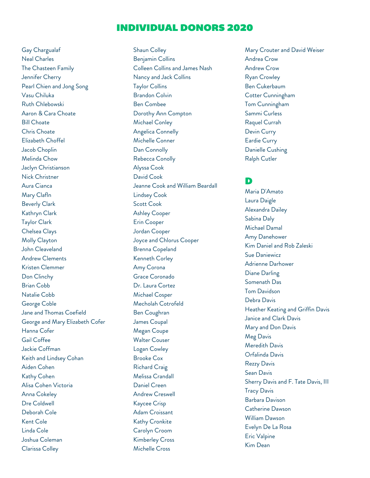Gay Chargualaf Neal Charles The Chasteen Family Jennifer Cherry Pearl Chien and Jong Song Vasu Chiluka Ruth Chlebowski Aaron & Cara Choate Bill Choate Chris Choate Elizabeth Choffel Jacob Choplin Melinda Chow Jaclyn Christianson Nick Christner Aura Cianca Mary Clafln Beverly Clark Kathryn Clark Taylor Clark Chelsea Clays Molly Clayton John Cleaveland Andrew Clements Kristen Clemmer Don Clinchy Brian Cobb Natalie Cobb George Coble Jane and Thomas Coefield George and Mary Elizabeth Cofer Hanna Cofer Gail Coffee Jackie Coffman Keith and Lindsey Cohan Aiden Cohen Kathy Cohen Alisa Cohen Victoria Anna Cokeley Dre Coldwell Deborah Cole Kent Cole Linda Cole Joshua Coleman Clarissa Colley

Shaun Colley Benjamin Collins Colleen Collins and James Nash Nancy and Jack Collins Taylor Collins Brandon Colvin Ben Combee Dorothy Ann Compton Michael Conley Angelica Connelly Michelle Conner Dan Connolly Rebecca Conolly Alyssa Cook David Cook Jeanne Cook and William Beardall Lindsey Cook Scott Cook Ashley Cooper Erin Cooper Jordan Cooper Joyce and Chlorus Cooper Brenna Copeland Kenneth Corley Amy Corona Grace Coronado Dr. Laura Cortez Michael Cosper Mecholah Cotrofeld Ben Coughran James Coupal Megan Coupe Walter Couser Logan Cowley Brooke Cox Richard Craig Melissa Crandall Daniel Creen Andrew Creswell Kaycee Crisp Adam Croissant Kathy Cronkite Carolyn Croom Kimberley Cross Michelle Cross

Mary Crouter and David Weiser Andrea Crow Andrew Crow Ryan Crowley Ben Cukerbaum Cotter Cunningham Tom Cunningham Sammi Curless Raquel Currah Devin Curry Eardie Curry Danielle Cushing Ralph Cutler

#### D

Maria D'Amato Laura Daigle Alexandra Dailey Sabina Daly Michael Damal Amy Danehower Kim Daniel and Rob Zaleski Sue Daniewicz Adrienne Darhower Diane Darling Somenath Das Tom Davidson Debra Davis Heather Keating and Griffin Davis Janice and Clark Davis Mary and Don Davis Meg Davis Meredith Davis Orfalinda Davis Rezzy Davis Sean Davis Sherry Davis and F. Tate Davis, III Tracy Davis Barbara Davison Catherine Dawson William Dawson Evelyn De La Rosa Eric Valpine Kim Dean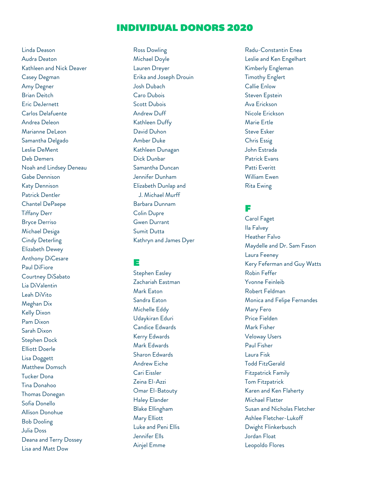Linda Deason Audra Deaton Kathleen and Nick Deaver Casey Degman Amy Degner Brian Deitch Eric DeJernett Carlos Delafuente Andrea Deleon Marianne DeLeon Samantha Delgado Leslie DeMent Deb Demers Noah and Lindsey Deneau Gabe Dennison Katy Dennison Patrick Dentler Chantel DePaepe Tiffany Derr Bryce Derriso Michael Desiga Cindy Deterling Elizabeth Dewey Anthony DiCesare Paul DiFiore Courtney DiSabato Lia DiValentin Leah DiVito Meghan Dix Kelly Dixon Pam Dixon Sarah Dixon Stephen Dock Elliott Doerle Lisa Doggett Matthew Domsch Tucker Dona Tina Donahoo Thomas Donegan Sofia Donello Allison Donohue Bob Dooling Julia Doss Deana and Terry Dossey Lisa and Matt Dow

Ross Dowling Michael Doyle Lauren Dreyer Erika and Joseph Drouin Josh Dubach Caro Dubois Scott Dubois Andrew Duff Kathleen Duffy David Duhon Amber Duke Kathleen Dunagan Dick Dunbar Samantha Duncan Jennifer Dunham Elizabeth Dunlap and J. Michael Murff Barbara Dunnam Colin Dupre Gwen Durrant Sumit Dutta Kathryn and James Dyer

E

Stephen Easley Zachariah Eastman

Mark Eaton Sandra Eaton Michelle Eddy Udaykiran Eduri Candice Edwards Kerry Edwards Mark Edwards Sharon Edwards Andrew Eiche Cari Eissler Zeina El-Azzi Omar El-Batouty Haley Elander Blake Ellingham Mary Elliott Luke and Peni Ellis Jennifer Ells Ainjel Emme

Radu-Constantin Enea Leslie and Ken Engelhart Kimberly Engleman Timothy Englert Callie Enlow Steven Epstein Ava Erickson Nicole Erickson Marie Ertle Steve Esker Chris Essig John Estrada Patrick Evans Patti Everitt William Ewen Rita Ewing

#### F

Carol Faget Ila Falvey Heather Falvo Maydelle and Dr. Sam Fason Laura Feeney Kery Feferman and Guy Watts Robin Feffer Yvonne Feinleib Robert Feldman Monica and Felipe Fernandes Mary Fero Price Fielden Mark Fisher Veloway Users Paul Fisher Laura Fisk Todd FitzGerald Fitzpatrick Family Tom Fitzpatrick Karen and Ken Flaherty Michael Flatter Susan and Nicholas Fletcher Ashlee Fletcher-Lukoff Dwight Flinkerbusch Jordan Float Leopoldo Flores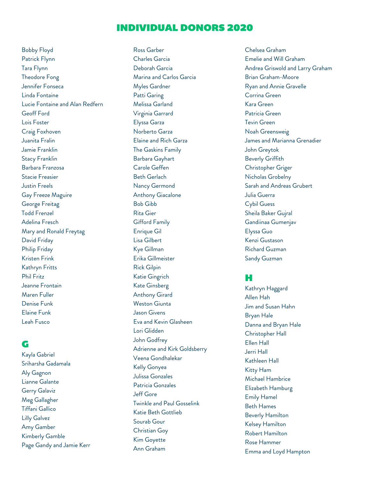Bobby Floyd Patrick Flynn Tara Flynn Theodore Fong Jennifer Fonseca Linda Fontaine Lucie Fontaine and Alan Redfern Geoff Ford Lois Foster Craig Foxhoven Juanita Fralin Jamie Franklin Stacy Franklin Barbara Franzosa Stacie Freasier Justin Freels Gay Freeze Maguire George Freitag Todd Frenzel Adelina Fresch Mary and Ronald Freytag David Friday Philip Friday Kristen Frink Kathryn Fritts Phil Fritz Jeanne Frontain Maren Fuller Denise Funk Elaine Funk Leah Fusco

### G

Kayla Gabriel Sriharsha Gadamala Aly Gagnon Lianne Galante Gerry Galaviz Meg Gallagher Tiffani Gallico Lilly Galvez Amy Gamber Kimberly Gamble Page Gandy and Jamie Kerr Ross Garber Charles Garcia Deborah Garcia Marina and Carlos Garcia Myles Gardner Patti Garing Melissa Garland Virginia Garrard Elyssa Garza Norberto Garza Elaine and Rich Garza The Gaskins Family Barbara Gayhart Carole Geffen Beth Gerlach Nancy Germond Anthony Giacalone Bob Gibb Rita Gier Gifford Family Enrique Gil Lisa Gilbert Kye Gillman Erika Gillmeister Rick Gilpin Katie Gingrich Kate Ginsberg Anthony Girard Weston Giunta Jason Givens Eva and Kevin Glasheen Lori Glidden John Godfrey Adrienne and Kirk Goldsberry Veena Gondhalekar Kelly Gonyea Julissa Gonzales Patricia Gonzales Jeff Gore Twinkle and Paul Gosselink Katie Beth Gottlieb Sourab Gour Christian Goy Kim Goyette Ann Graham

Chelsea Graham Emelie and Will Graham Andrea Griswold and Larry Graham Brian Graham-Moore Ryan and Annie Gravelle Corrina Green Kara Green Patricia Green Tevin Green Noah Greensweig James and Marianna Grenadier John Greytok Beverly Griffith Christopher Griger Nicholas Grobelny Sarah and Andreas Grubert Julia Guerra Cybil Guess Sheila Baker Gujral Gandiinaa Gumenjav Elyssa Guo Kenzi Gustason Richard Guzman Sandy Guzman

### H

Kathryn Haggard Allen Hah Jim and Susan Hahn Bryan Hale Danna and Bryan Hale Christopher Hall Ellen Hall Jerri Hall Kathleen Hall Kitty Ham Michael Hambrice Elizabeth Hamburg Emily Hamel Beth Hames Beverly Hamilton Kelsey Hamilton Robert Hamilton Rose Hammer Emma and Loyd Hampton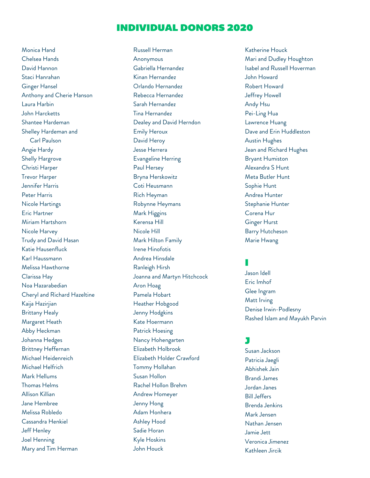Monica Hand Chelsea Hands David Hannon Staci Hanrahan Ginger Hansel Anthony and Cherie Hanson Laura Harbin John Harcketts Shantee Hardeman Shelley Hardeman and Carl Paulson Angie Hardy Shelly Hargrove Christi Harper Trevor Harper Jennifer Harris Peter Harris Nicole Hartings Eric Hartner Miriam Hartshorn Nicole Harvey Trudy and David Hasan Katie Hausenfluck Karl Haussmann Melissa Hawthorne Clarissa Hay Noa Hazarabedian Cheryl and Richard Hazeltine Kaija Hazirjian Brittany Healy Margaret Heath Abby Heckman Johanna Hedges Brittney Heffernan Michael Heidenreich Michael Helfrich Mark Hellums Thomas Helms Allison Killian Jane Hembree Melissa Robledo Cassandra Henkiel Jeff Henley Joel Henning Mary and Tim Herman

Russell Herman Anonymous Gabriella Hernandez Kinan Hernandez Orlando Hernandez Rebecca Hernandez Sarah Hernandez Tina Hernandez Dealey and David Herndon Emily Heroux David Heroy Jesse Herrera Evangeline Herring Paul Hersey Bryna Herskowitz Coti Heusmann Rich Heyman Robynne Heymans Mark Higgins Kerensa Hill Nicole Hill Mark Hilton Family Irene Hinofotis Andrea Hinsdale Ranleigh Hirsh Joanna and Martyn Hitchcock Aron Hoag Pamela Hobart Heather Hobgood Jenny Hodgkins Kate Hoermann Patrick Hoesing Nancy Hohengarten Elizabeth Holbrook Elizabeth Holder Crawford Tommy Hollahan Susan Hollon Rachel Hollon Brehm Andrew Homeyer Jenny Hong Adam Honhera Ashley Hood Sadie Horan Kyle Hoskins John Houck

Katherine Houck Mari and Dudley Houghton Isabel and Russell Hoverman John Howard Robert Howard Jeffrey Howell Andy Hsu Pei-Ling Hua Lawrence Huang Dave and Erin Huddleston Austin Hughes Jean and Richard Hughes Bryant Humiston Alexandra S Hunt Meta Butler Hunt Sophie Hunt Andrea Hunter Stephanie Hunter Corena Hur Ginger Hurst Barry Hutcheson Marie Hwang

## I

Jason Idell Eric Imhof Glee Ingram Matt Irving Denise Irwin-Podlesny Rashed Islam and Mayukh Parvin

#### J

Susan Jackson Patricia Jaegli Abhishek Jain Brandi James Jordan Janes Bill Jeffers Brenda Jenkins Mark Jensen Nathan Jensen Jamie Jett Veronica Jimenez Kathleen Jircik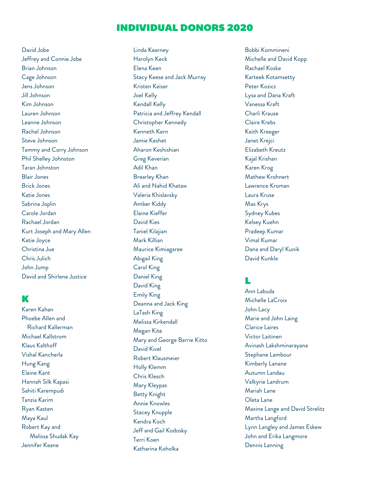David Jobe Jeffrey and Connie Jobe Brian Johnson Cage Johnson Jens Johnson Jill Johnson Kim Johnson Lauren Johnson Leanne Johnson Rachel Johnson Steve Johnson Tammy and Corry Johnson Phil Shelley Johnston Taran Johnston Blair Jones Brick Jones Katie Jones Sabrina Joplin Carole Jordan Rachael Jordan Kurt Joseph and Mary Allen Katie Joyce Christina Jue Chris Julich John Jump David and Shirlene Justice

#### K

Karen Kahan Phoebe Allen and Richard Kallerman Michael Kallstrom Klaus Kalthoff Vishal Kancherla Hung Kang Elaine Kant Hannah Silk Kapasi Sahiti Karempudi Tanzia Karim Ryan Kasten Maya Kaul Robert Kay and Melissa Shudak Kay Jennifer Keane

Linda Kearney Harolyn Keck Elena Keen Stacy Keese and Jack Murray Kristen Keiser Joel Kelly Kendall Kelly Patricia and Jeffrey Kendall Christopher Kennedy Kenneth Kern Jamie Keshet Aharon Keshishian Greg Keverian Adil Khan Brearley Khan Ali and Nahid Khataw Valeria Khislavsky Amber Kiddy Elaine Kieffer David Kies Taniel Kilajian Mark Killian Maurice Kimiagaree Abigail King Carol King Daniel King David King Emily King Deanna and Jack King LaTash King Melissa Kirkendall Megan Kite Mary and George Barrie Kitto David Kivel Robert Klausmeier Holly Klemm Chris Klesch Mary Kleypas Betty Knight Annie Knowles Stacey Knupple Kendra Koch Jeff and Gail Kodosky Terri Koen Katharina Koholka

Bobbi Kommineni Michelle and David Kopp Rachael Koske Karteek Kotamsetty Peter Kozicz Lysa and Dana Kraft Vanessa Kraft Charli Krause Claire Krebs Keith Kreeger Janet Krejci Elizabeth Kreutz Kajal Krishan Karen Krog Mathew Krohnert Lawrence Kroman Laura Kruse Max Krys Sydney Kubes Kelsey Kuehn Pradeep Kumar Vimal Kumar Dana and Daryl Kunik David Kunkle

### L

Ann Labuda Michelle LaCroix John Lacy Marie and John Laing Clarice Laires Victor Laitinen Avinash Lakshminarayana Stephane Lambour Kimberly Lanane Autumn Landau Valkyrie Landrum Mariah Lane Oleta Lane Maxine Lange and David Strelitz Martha Langford Lynn Langley and James Eskew John and Erika Langmore Dennis Lanning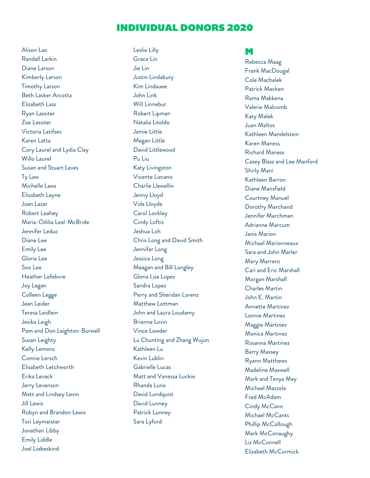Alison Lao Randall Larkin Diane Larson Kimberly Larson Timothy Larson Beth Lasker Arcotta Elizabeth Lass Ryan Lassiter Zoe Lassiter Victoria Latifses Karen Latta Cory Laurel and Lydia Clay Willo Laurel Susan and Stuart Laves Ty Law Michelle Laws Elizabeth Layne Joan Lazar Robert Leahey Maria-Odilia Leal-McBride Jennifer Leduc Diane Lee Emily Lee Gloria Lee Soo Lee Heather Lefebvre Joy Legan Colleen Legge Jean Leider Teresa Leidlein Jesika Leigh Pam and Don Leighton-Burwell Susan Leighty Kelly Lemons Connie Lersch Elisabeth Letchworth Erika Levack Jerry Levenson Matt and Lindsey Levin Jill Lewis Robyn and Brandon Lewis Tori Leymeister Jonathan Libby Emily Liddle Joel Liebeskind

Leslie Lilly Grace Lin Jie Lin Justin Lindabury Kim Lindauee John Link Will Linnebur Robert Lipman Natalia Litoldo Jamie Little Megan Little David Littlewood Pu Liu Katy Livingston Vicente Lizcano Charlie Llewellin Jenny Lloyd Vida Lloyde Carol Lockley Cindy Loftis Jeshua Loh Chris Long and David Smith Jennifer Long Jessica Long Meagan and Bill Longley Gloria Lisa Lopez Sandra Lopez Perry and Sheridan Lorenz Matthew Lottman John and Laura Loudamy Brianne Lovin Vince Lowder Lu Chunting and Zhang Wujun Kathleen Lu Kevin Lublin Gabrielle Lucas Matt and Vanessa Luckie Rhanda Luna David Lundquist David Lunney Patrick Lunney Sara Lyford

#### M

Rebecca Maag Frank MacDougal Cole Machalek Patrick Macken Rama Makkena Valerie Malcomb Katy Malek Juan Maltos Kathleen Mandelstein Karen Maness Richard Maness Casey Blass and Lee Manford Shirly Mani Kathleen Barron Diane Mansfield Courtney Manuel Dorothy Marchand Jennifer Marchman Adrianne Marcum Janis Marion Michael Marionneaux Sara and John Marler Mary Marrero Cari and Eric Marshall Morgan Marshall Charles Martin John E. Martin Annette Martinez Lonnie Martinez Maggie Martinez Monica Martinez Rosanna Martinez Barry Massey Ryann Matthews Madeline Maxwell Mark and Tanya May Michael Mazzola Fred McAdam Cindy McCann Michael McCants Phillip McCollough Mark McConaughy Liz McConnell Elizabeth McCormick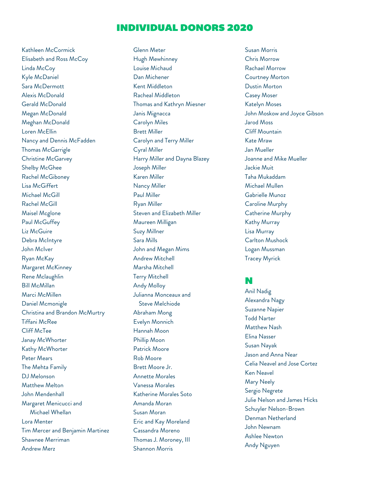Kathleen McCormick Elisabeth and Ross McCoy Linda McCoy Kyle McDaniel Sara McDermott Alexis McDonald Gerald McDonald Megan McDonald Meghan McDonald Loren McEllin Nancy and Dennis McFadden Thomas McGarrigle Christine McGarvey Shelby McGhee Rachel McGiboney Lisa McGiffert Michael McGill Rachel McGill Maisel Mcglone Paul McGuffey Liz McGuire Debra McIntyre John McIver Ryan McKay Margaret McKinney Rene Mclaughlin Bill McMillan Marci McMillen Daniel Mcmonigle Christina and Brandon McMurtry Tiffani McRee Cliff McTee Janay McWhorter Kathy McWhorter Peter Mears The Mehta Family DJ Melonson Matthew Melton John Mendenhall Margaret Menicucci and Michael Whellan Lora Menter Tim Mercer and Benjamin Martinez Shawnee Merriman Andrew Merz

Glenn Meter Hugh Mewhinney Louise Michaud Dan Michener Kent Middleton Racheal Middleton Thomas and Kathryn Miesner Janis Mignacca Carolyn Miles Brett Miller Carolyn and Terry Miller Cyral Miller Harry Miller and Dayna Blazey Joseph Miller Karen Miller Nancy Miller Paul Miller Ryan Miller Steven and Elizabeth Miller Maureen Milligan Suzy Millner Sara Mills John and Megan Mims Andrew Mitchell Marsha Mitchell Terry Mitchell Andy Molloy Julianna Monceaux and Steve Melchiode Abraham Mong Evelyn Monnich Hannah Moon Phillip Moon Patrick Moore Rob Moore Brett Moore Jr. Annette Morales Vanessa Morales Katherine Morales Soto Amanda Moran Susan Moran Eric and Kay Moreland Cassandra Moreno Thomas J. Moroney, III Shannon Morris

Susan Morris Chris Morrow Rachael Morrow Courtney Morton Dustin Morton Casey Moser Katelyn Moses John Moskow and Joyce Gibson Jarod Moss Cliff Mountain Kate Mraw Jan Mueller Joanne and Mike Mueller Jackie Muit Taha Mukaddam Michael Mullen Gabrielle Munoz Caroline Murphy Catherine Murphy Kathy Murray Lisa Murray Carlton Mushock Logan Mussman Tracey Myrick

#### N

Anil Nadig Alexandra Nagy Suzanne Napier Todd Narter Matthew Nash Elina Nasser Susan Nayak Jason and Anna Near Celia Neavel and Jose Cortez Ken Neavel Mary Neely Sergio Negrete Julie Nelson and James Hicks Schuyler Nelson-Brown Denman Netherland John Newnam Ashlee Newton Andy Nguyen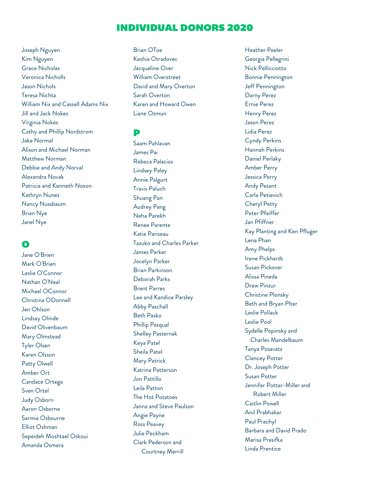Joseph Nguyen Kim Nguyen Grace Nicholas Veronica Nicholls Jason Nichols Teresa Nichta William Nix and Cassell Adams Nix Jill and Jack Nokes Virginia Nokes Cathy and Phillip Nordstrom Jake Normal Alison and Michael Norman Matthew Norman Debbie and Andy Norval Alexandra Novak Patricia and Kenneth Noxon Kathryn Nunez Nancy Nussbaum Brian Nye Janel Nye

### O

Jane O'Brien Mark O'Brien Leslie O'Connor Nathan O'Neal Michael OConnor Christina ODonnell Jen Ohlson Lindsay Olinde David Olivenbaum Mary Olmstead Tyler Olsen Karen Olsson Patty Olwell Amber Ort Candace Ortega Sven Ortel Judy Osborn Aaron Osborne Sarmia Osbourne Elliot Oshman Sepeideh Moshtael Oskoui Amanda Osmera

Brian OToe Keshia Otradovec Jacqueline Over William Overstreet David and Mary Overton Sarah Overton Karen and Howard Owen Liane Ozmun

#### P

Saam Pahlavan James Pai Rebeca Palacios Lindsey Paley Annie Palgurt Travis Paluch Shuang Pan Audrey Pang Neha Parekh Renee Parente Katie Pariseau Tazuko and Charles Parker James Parker Jocelyn Parker Brian Parkinson Deborah Parks Brent Parres Lee and Kandice Parsley Abby Paschall Beth Pasko Phillip Pasqual Shelley Pasternak Keya Patel Sheila Patel Mary Patrick Katrina Patterson Jon Pattillo Leila Patton The Hot Potatoes Janna and Steve Paulson Angie Payne Ross Peavey Julie Peckham Clark Pederson and Courtney Merrill

Heather Peeler Georgia Pellegrini Nick Pellicciotto Bonnie Pennington Jeff Pennington Darny Perez Ernie Perez Henry Perez Jason Perez Lidia Perez Cyndy Perkins Hannah Perkins Daniel Perlaky Amber Perry Jessica Perry Andy Pesant Carla Petievich Cheryl Petty Peter Pfeiffer Jan Pfiffner Kay Planting and Ken Pfluger Lena Phan Amy Phelps Irene Pickhardt Susan Pickover Alissa Pineda Drew Pinzur Christine Plonsky Beth and Bryan Plter Leslie Pollack Leslie Pool Sydelle Popinsky and Charles Mandelbaum Tanya Posavatz Clancey Potter Dr. Joseph Potter Susan Potter Jennifer Potter-Miller and Robert Miller Caitlin Powell Anil Prabhakar Paul Prachyl Barbara and David Prado Marisa Prasifka Linda Prentice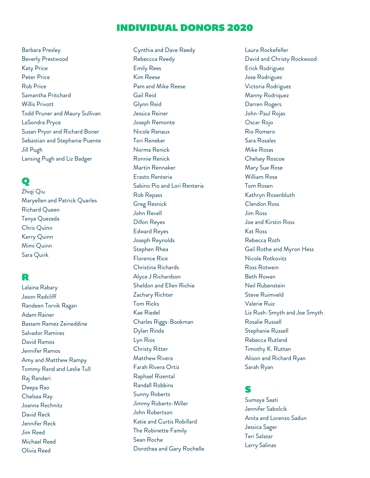Barbara Presley Beverly Prestwood Katy Price Peter Price Rob Price Samantha Pritchard Willis Privott Todd Pruner and Maury Sullivan LaSondra Pryce Susan Pryor and Richard Boner Sebastian and Stephanie Puente Jill Pugh Lansing Pugh and Liz Badger

## Q

Zhiqi Qiu Maryellen and Patrick Quarles Richard Queen Tanya Quezada Chris Quinn Kerry Quinn Mimi Quinn Sara Quirk

#### R

Lalaina Rabary Jason Radcliff Randeen Torvik Ragan Adam Rainer Bassam Ramez Zeineddine Salvador Ramirez David Ramos Jennifer Ramos Amy and Matthew Rampy Tommy Rand and Leslie Tull Raj Randeri Deepa Rao Chelsea Ray Joanna Rechnitz David Reck Jennifer Reck Jim Reed Michael Reed Olivia Reed

Cynthia and Dave Reedy Rebeccca Reedy Emily Rees Kim Reese Pam and Mike Reese Gail Reid Glynn Reid Jessica Reiner Joseph Remonte Nicole Renaux Tori Reneker Norma Renick Ronnie Renick Martin Rennaker Erasto Renteria Sabino Pio and Lori Renteria Rob Repass Greg Resnick John Revell Dillon Reyes Edward Reyes Joseph Reynolds Stephen Rhea Florence Rice Christina Richards Alyce J Richardson Sheldon and Ellen Richie Zachary Richter Tom Ricks Kae Riedel Charles Riggs-Bookman Dylan Rinda Lyn Rios Christy Ritter Matthew Rivera Farah Rivera Ortiz Raphael Rizental Randall Robbins Sunny Roberts Jimmy Roberts-Miller John Robertson Katie and Curtis Robillard The Robinette Family Sean Roche Dorothea and Gary Rochelle

Laura Rockefeller David and Christy Rockwood Erick Rodriguez Jose Rodriguez Victoria Rodriguez Manny Rodriquez Darren Rogers John-Paul Rojas Oscar Rojo Rio Romero Sara Rosales Mike Rosas Chelsey Roscoe Mary Sue Rose William Rose Tom Rosen Kathryn Rosenbluth Clendon Ross Jim Ross Joe and Kirstin Ross Kat Ross Rebecca Roth Gail Rothe and Myron Hess Nicole Rotkovitz Ross Rotwein Beth Rowan Neil Rubenstein Steve Ruimveld Valerie Ruiz Liz Rush-Smyth and Joe Smyth Rosalie Russell Stephanie Russell Rebecca Rutland Timothy K. Ruttan Alison and Richard Ryan Sarah Ryan

### S

Sumaya Saati Jennifer Sabolcik Anita and Lorenzo Sadun Jessica Sager Teri Salazar Larry Salinas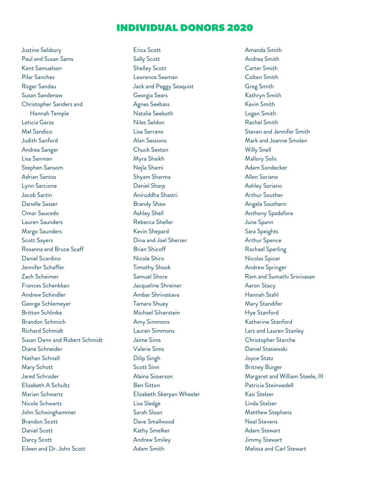Justine Salsbury Paul and Susan Sams Kent Samuelson Pilar Sanchez Roger Sandau Susan Sandenaw Christopher Sanders and Hannah Temple Leticia Garza Mel Sandico Judith Sanford Andrea Sanger Lisa Sanman Stephen Sansom Adrian Santos Lynn Sarcione Jacob Sartin Danelle Sasser Omar Saucedo Lauren Saunders Margo Saunders Scott Sayers Rosanna and Bruce Scaff Daniel Scardino Jennifer Schaffer Zach Scheimer Frances Schenkkan Andrew Schindler George Schlemeyer Britton Schlinke Brandon Schmich Richard Schmidt Susan Denn and Robert Schmidt Diana Schneider Nathan Schnell Mary Schott Jared Schroder Elizabeth A Schultz Marian Schwartz Nicole Schwartz John Schwinghammer Brandon Scott Daniel Scott Darcy Scott Eileen and Dr. John Scott

Erica Scott Sally Scott Shelley Scott Lawrence Seaman Jack and Peggy Seaquist Georgia Sears Agnes Seebass Natalie Seeboth Niles Seldon Lisa Serrano Alan Sessions Chuck Sexton Myra Shaikh Nejla Shami Shyam Sharma Daniel Sharp Aniruddha Shastri Brandy Shaw Ashley Shell Rebecca Sheller Kevin Shepard Dina and Joel Sherzer Brian Shicoff Nicole Shiro Timothy Shook Samuel Shore Jacqueline Shreiner Ambar Shrivastava Tamara Shuey Michael Silverstein Amy Simmons Lauren Simmons Jaime Sims Valerie Sims Dilip Singh Scott Sinn Alaina Sisserson Ben Sitton Elizabeth Skerpan Wheeler Lisa Sledge Sarah Sloan Dave Smallwood Kathy Smelker Andrew Smiley Adam Smith

Amanda Smith Andrea Smith Carter Smith Colten Smith Greg Smith Kathryn Smith Kevin Smith Logan Smith Rachel Smith Steven and Jennifer Smith Mark and Joanne Smolen Willy Snell Mallory Solis Adam Sondecker Allen Soriano Ashley Soriano Arthur Souther Angela Southern Anthony Spadafore June Spann Sara Speights Arthur Spence Rachael Sperling Nicolas Spicer Andrew Springer Ram and Sumathi Srinivasan Aaron Stacy Hannah Stahl Mary Standifer Hye Stanford Katherine Stanford Lars and Lauren Stanley Christopher Starche Daniel Stasiewski Joyce Statz Britney Burger Margaret and William Steele, III Patricia Steinwedell Kasi Stelzer Linda Stelzer Matthew Stephens Neal Stevens Adam Stewart Jimmy Stewart Melissa and Carl Stewart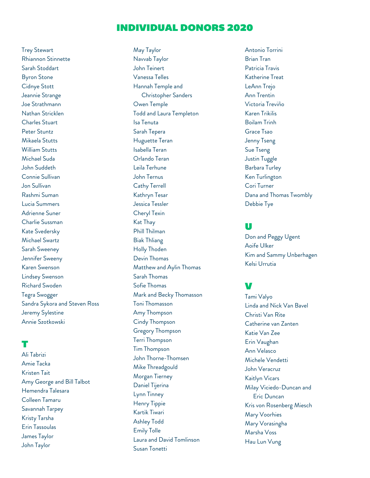Trey Stewart Rhiannon Stinnette Sarah Stoddart Byron Stone Cidnye Stott Jeannie Strange Joe Strathmann Nathan Stricklen Charles Stuart Peter Stuntz Mikaela Stutts William Stutts Michael Suda John Suddeth Connie Sullivan Jon Sullivan Rashmi Suman Lucia Summers Adrienne Suner Charlie Sussman Kate Svedersky Michael Swartz Sarah Sweeney Jennifer Sweeny Karen Swenson Lindsey Swenson Richard Swoden Tegra Swogger Sandra Sykora and Steven Ross Jeremy Sylestine Annie Szotkowski

#### T

Ali Tabrizi Amie Tacka Kristen Tait Amy George and Bill Talbot Hemendra Talesara Colleen Tamaru Savannah Tarpey Kristy Tarsha Erin Tassoulas James Taylor John Taylor

May Taylor Navvab Taylor John Teinert Vanessa Telles Hannah Temple and Christopher Sanders Owen Temple Todd and Laura Templeton Isa Tenuta Sarah Tepera Huguette Teran Isabella Teran Orlando Teran Leila Terhune John Ternus Cathy Terrell Kathryn Tesar Jessica Tessler Cheryl Texin Kat Thay Phill Thilman Biak Thliang Holly Thoden Devin Thomas Matthew and Aylin Thomas Sarah Thomas Sofie Thomas Mark and Becky Thomasson Toni Thomasson Amy Thompson Cindy Thompson Gregory Thompson Terri Thompson Tim Thompson John Thorne-Thomsen Mike Threadgould Morgan Tierney Daniel Tijerina Lynn Tinney Henry Tippie Kartik Tiwari Ashley Todd Emily Tolle Laura and David Tomlinson Susan Tonetti

Antonio Torrini Brian Tran Patricia Travis Katherine Treat LeAnn Trejo Ann Trentin Victoria Treviño Karen Trikilis Boilam Trinh Grace Tsao Jenny Tseng Sue Tseng Justin Tuggle Barbara Turley Ken Turlington Cori Turner Dana and Thomas Twombly Debbie Tye

#### U

Don and Peggy Ugent Aoife Ulker Kim and Sammy Unberhagen Kelsi Urrutia

### V

Tami Valyo Linda and Nick Van Bavel Christi Van Rite Catherine van Zanten Katie Van Zee Erin Vaughan Ann Velasco Michele Vendetti John Veracruz Kaitlyn Vicars Milay Viciedo-Duncan and Eric Duncan Kris von Rosenberg Miesch Mary Voorhies Mary Vorasingha Marsha Voss Hau Lun Vung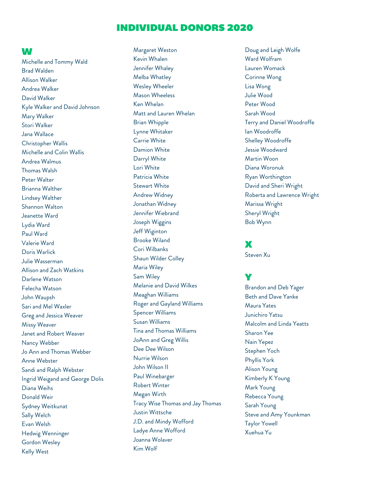#### W

Michelle and Tommy Wald Brad Walden Allison Walker Andrea Walker David Walker Kyle Walker and David Johnson Mary Walker Stori Walker Jana Wallace Christopher Wallis Michelle and Colin Wallis Andrea Walmus Thomas Walsh Peter Walter Brianna Walther Lindsey Walther Shannon Walton Jeanette Ward Lydia Ward Paul Ward Valerie Ward Doris Warlick Julie Wasserman Allison and Zach Watkins Darlene Watson Felecha Watson John Waupsh Sari and Mel Waxler Greg and Jessica Weaver Missy Weaver Janet and Robert Weaver Nancy Webber Jo Ann and Thomas Webber Anne Webster Sandi and Ralph Webster Ingrid Weigand and George Dolis Diana Weihs Donald Weir Sydney Weitkunat Sally Welch Evan Welsh Hedwig Wenninger Gordon Wesley Kelly West

Margaret Weston Kevin Whalen Jennifer Whaley Melba Whatley Wesley Wheeler Mason Wheeless Ken Whelan Matt and Lauren Whelan Brian Whipple Lynne Whitaker Carrie White Damion White Darryl White Lori White Patricia White Stewart White Andrew Widney Jonathan Widney Jennifer Wiebrand Joseph Wiggins Jeff Wiginton Brooke Wiland Cori Wilbanks Shaun Wilder Colley Maria Wiley Sam Wiley Melanie and David Wilkes Meaghan Williams Roger and Gayland Williams Spencer Williams Susan Williams Tina and Thomas Williams JoAnn and Greg Willis Dee Dee Wilson Nurrie Wilson John Wilson II Paul Winebarger Robert Winter Megan Wirth Tracy Wise Thomas and Jay Thomas Justin Wittsche J.D. and Mindy Wofford Ladye Anne Wofford Joanna Wolaver Kim Wolf

Doug and Leigh Wolfe Ward Wolfram Lauren Womack Corinne Wong Lisa Wong Julie Wood Peter Wood Sarah Wood Terry and Daniel Woodroffe Ian Woodroffe Shelley Woodroffe Jessie Woodward Martin Woon Diana Woronuk Ryan Worthington David and Sheri Wright Roberta and Lawrence Wright Marissa Wright Sheryl Wright Bob Wynn

#### $\mathbf x$

Steven Xu

# Y

Brandon and Deb Yager Beth and Dave Yanke Maura Yates Junichiro Yatsu Malcolm and Linda Yeatts Sharon Yee Nain Yepez Stephen Yoch Phyllis York Alison Young Kimberly K Young Mark Young Rebecca Young Sarah Young Steve and Amy Younkman Taylor Yowell Xuehua Yu